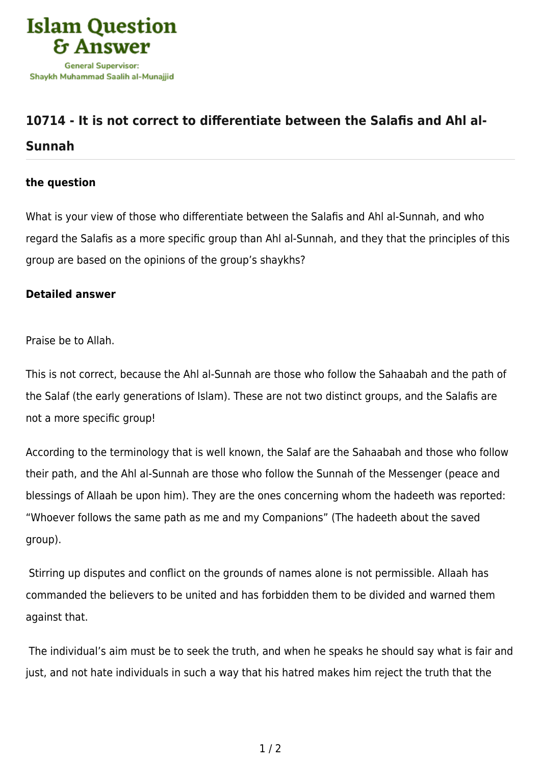

## **[10714 - It is not correct to differentiate between the Salafis and Ahl al-](https://islamqa.com/en/answers/10714/it-is-not-correct-to-differentiate-between-the-salafis-and-ahl-al-sunnah)[Sunnah](https://islamqa.com/en/answers/10714/it-is-not-correct-to-differentiate-between-the-salafis-and-ahl-al-sunnah)**

## **the question**

What is your view of those who differentiate between the Salafis and Ahl al-Sunnah, and who regard the Salafis as a more specific group than Ahl al-Sunnah, and they that the principles of this group are based on the opinions of the group's shaykhs?

## **Detailed answer**

Praise be to Allah.

This is not correct, because the Ahl al-Sunnah are those who follow the Sahaabah and the path of the Salaf (the early generations of Islam). These are not two distinct groups, and the Salafis are not a more specific group!

According to the terminology that is well known, the Salaf are the Sahaabah and those who follow their path, and the Ahl al-Sunnah are those who follow the Sunnah of the Messenger (peace and blessings of Allaah be upon him). They are the ones concerning whom the hadeeth was reported: "Whoever follows the same path as me and my Companions" (The hadeeth about the saved group).

 Stirring up disputes and conflict on the grounds of names alone is not permissible. Allaah has commanded the believers to be united and has forbidden them to be divided and warned them against that.

 The individual's aim must be to seek the truth, and when he speaks he should say what is fair and just, and not hate individuals in such a way that his hatred makes him reject the truth that the